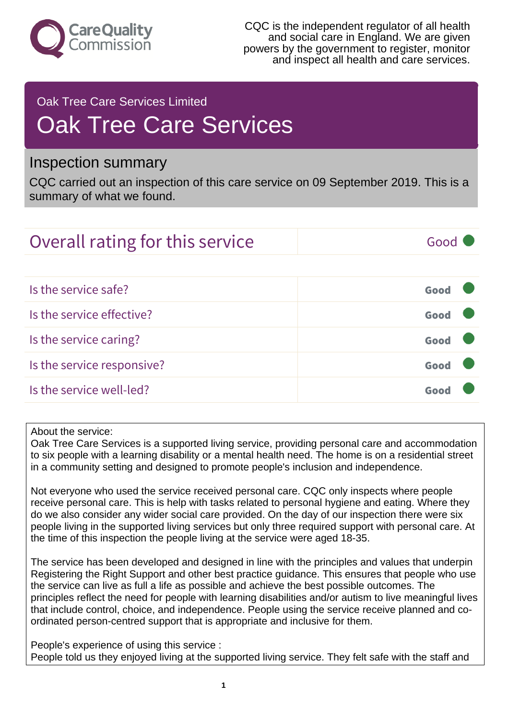

### Oak Tree Care Services Limited

## Oak Tree Care Services

## Inspection summary

CQC carried out an inspection of this care service on 09 September 2019. This is a summary of what we found.

# Overall rating for this service Fig. 600 Good Is the service safe? Good Is the service effective? Good Is the service caring? Good Is the service responsive? Good Is the service well-led? Good

#### About the service:

Oak Tree Care Services is a supported living service, providing personal care and accommodation to six people with a learning disability or a mental health need. The home is on a residential street in a community setting and designed to promote people's inclusion and independence.

Not everyone who used the service received personal care. CQC only inspects where people receive personal care. This is help with tasks related to personal hygiene and eating. Where they do we also consider any wider social care provided. On the day of our inspection there were six people living in the supported living services but only three required support with personal care. At the time of this inspection the people living at the service were aged 18-35.

The service has been developed and designed in line with the principles and values that underpin Registering the Right Support and other best practice guidance. This ensures that people who use the service can live as full a life as possible and achieve the best possible outcomes. The principles reflect the need for people with learning disabilities and/or autism to live meaningful lives that include control, choice, and independence. People using the service receive planned and coordinated person-centred support that is appropriate and inclusive for them.

People's experience of using this service : People told us they enjoyed living at the supported living service. They felt safe with the staff and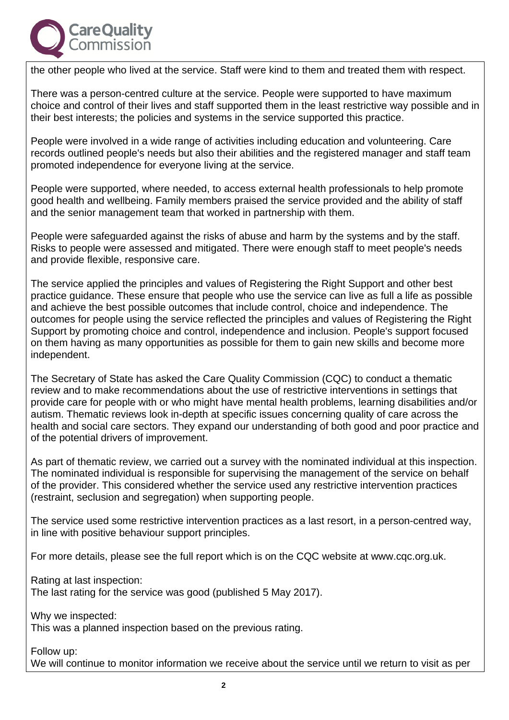

the other people who lived at the service. Staff were kind to them and treated them with respect.

There was a person-centred culture at the service. People were supported to have maximum choice and control of their lives and staff supported them in the least restrictive way possible and in their best interests; the policies and systems in the service supported this practice.

People were involved in a wide range of activities including education and volunteering. Care records outlined people's needs but also their abilities and the registered manager and staff team promoted independence for everyone living at the service.

People were supported, where needed, to access external health professionals to help promote good health and wellbeing. Family members praised the service provided and the ability of staff and the senior management team that worked in partnership with them.

People were safeguarded against the risks of abuse and harm by the systems and by the staff. Risks to people were assessed and mitigated. There were enough staff to meet people's needs and provide flexible, responsive care.

The service applied the principles and values of Registering the Right Support and other best practice guidance. These ensure that people who use the service can live as full a life as possible and achieve the best possible outcomes that include control, choice and independence. The outcomes for people using the service reflected the principles and values of Registering the Right Support by promoting choice and control, independence and inclusion. People's support focused on them having as many opportunities as possible for them to gain new skills and become more independent.

The Secretary of State has asked the Care Quality Commission (CQC) to conduct a thematic review and to make recommendations about the use of restrictive interventions in settings that provide care for people with or who might have mental health problems, learning disabilities and/or autism. Thematic reviews look in-depth at specific issues concerning quality of care across the health and social care sectors. They expand our understanding of both good and poor practice and of the potential drivers of improvement.

As part of thematic review, we carried out a survey with the nominated individual at this inspection. The nominated individual is responsible for supervising the management of the service on behalf of the provider. This considered whether the service used any restrictive intervention practices (restraint, seclusion and segregation) when supporting people.

The service used some restrictive intervention practices as a last resort, in a person-centred way, in line with positive behaviour support principles.

For more details, please see the full report which is on the CQC website at www.cqc.org.uk.

Rating at last inspection:

The last rating for the service was good (published 5 May 2017).

Why we inspected:

This was a planned inspection based on the previous rating.

Follow up:

We will continue to monitor information we receive about the service until we return to visit as per